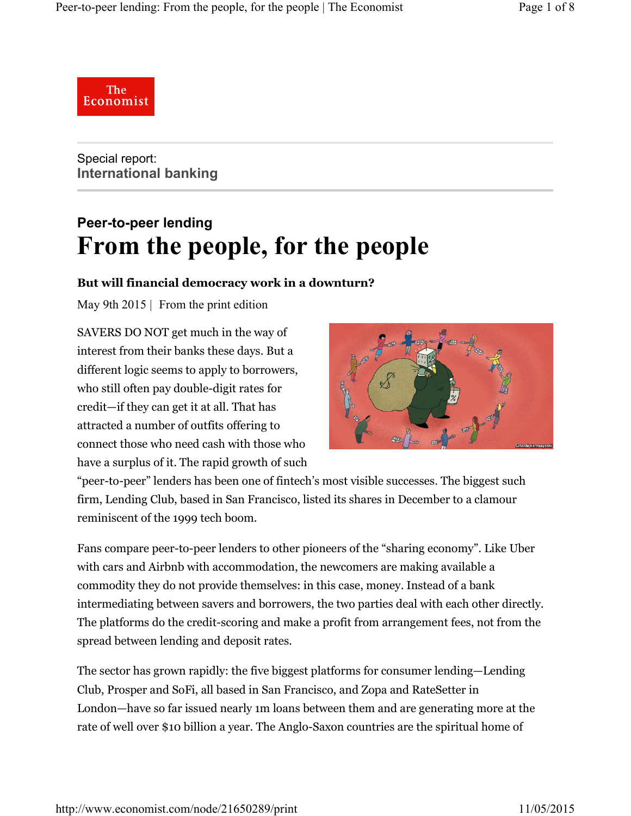

Special report: International banking

# Peer-to-peer lending From the people, for the people

## But will financial democracy work in a downturn?

May 9th 2015 | From the print edition

SAVERS DO NOT get much in the way of interest from their banks these days. But a different logic seems to apply to borrowers, who still often pay double-digit rates for credit—if they can get it at all. That has attracted a number of outfits offering to connect those who need cash with those who have a surplus of it. The rapid growth of such



"peer-to-peer" lenders has been one of fintech's most visible successes. The biggest such firm, Lending Club, based in San Francisco, listed its shares in December to a clamour reminiscent of the 1999 tech boom.

Fans compare peer-to-peer lenders to other pioneers of the "sharing economy". Like Uber with cars and Airbnb with accommodation, the newcomers are making available a commodity they do not provide themselves: in this case, money. Instead of a bank intermediating between savers and borrowers, the two parties deal with each other directly. The platforms do the credit-scoring and make a profit from arrangement fees, not from the spread between lending and deposit rates.

The sector has grown rapidly: the five biggest platforms for consumer lending—Lending Club, Prosper and SoFi, all based in San Francisco, and Zopa and RateSetter in London—have so far issued nearly 1m loans between them and are generating more at the rate of well over \$10 billion a year. The Anglo-Saxon countries are the spiritual home of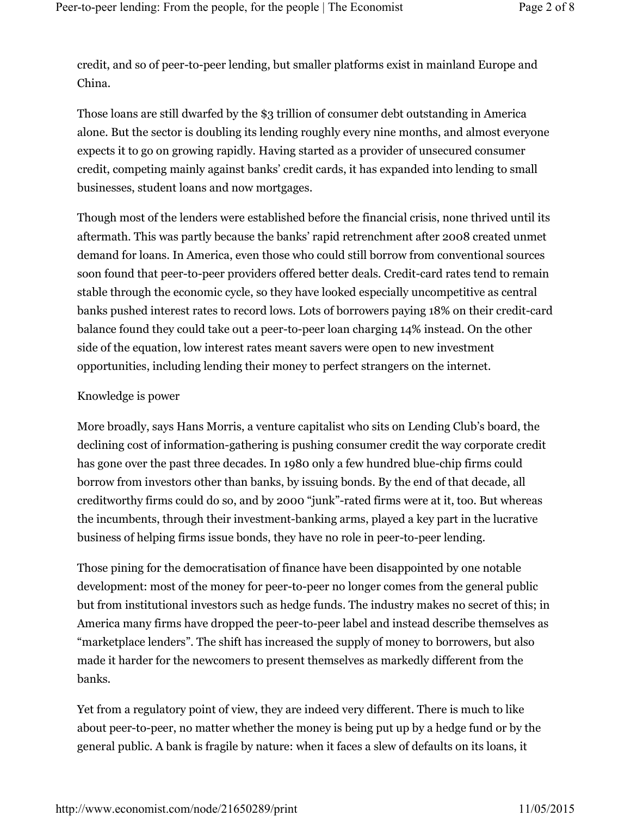credit, and so of peer-to-peer lending, but smaller platforms exist in mainland Europe and China.

Those loans are still dwarfed by the \$3 trillion of consumer debt outstanding in America alone. But the sector is doubling its lending roughly every nine months, and almost everyone expects it to go on growing rapidly. Having started as a provider of unsecured consumer credit, competing mainly against banks' credit cards, it has expanded into lending to small businesses, student loans and now mortgages.

Though most of the lenders were established before the financial crisis, none thrived until its aftermath. This was partly because the banks' rapid retrenchment after 2008 created unmet demand for loans. In America, even those who could still borrow from conventional sources soon found that peer-to-peer providers offered better deals. Credit-card rates tend to remain stable through the economic cycle, so they have looked especially uncompetitive as central banks pushed interest rates to record lows. Lots of borrowers paying 18% on their credit-card balance found they could take out a peer-to-peer loan charging 14% instead. On the other side of the equation, low interest rates meant savers were open to new investment opportunities, including lending their money to perfect strangers on the internet.

#### Knowledge is power

More broadly, says Hans Morris, a venture capitalist who sits on Lending Club's board, the declining cost of information-gathering is pushing consumer credit the way corporate credit has gone over the past three decades. In 1980 only a few hundred blue-chip firms could borrow from investors other than banks, by issuing bonds. By the end of that decade, all creditworthy firms could do so, and by 2000 "junk"-rated firms were at it, too. But whereas the incumbents, through their investment-banking arms, played a key part in the lucrative business of helping firms issue bonds, they have no role in peer-to-peer lending.

Those pining for the democratisation of finance have been disappointed by one notable development: most of the money for peer-to-peer no longer comes from the general public but from institutional investors such as hedge funds. The industry makes no secret of this; in America many firms have dropped the peer-to-peer label and instead describe themselves as "marketplace lenders". The shift has increased the supply of money to borrowers, but also made it harder for the newcomers to present themselves as markedly different from the banks.

Yet from a regulatory point of view, they are indeed very different. There is much to like about peer-to-peer, no matter whether the money is being put up by a hedge fund or by the general public. A bank is fragile by nature: when it faces a slew of defaults on its loans, it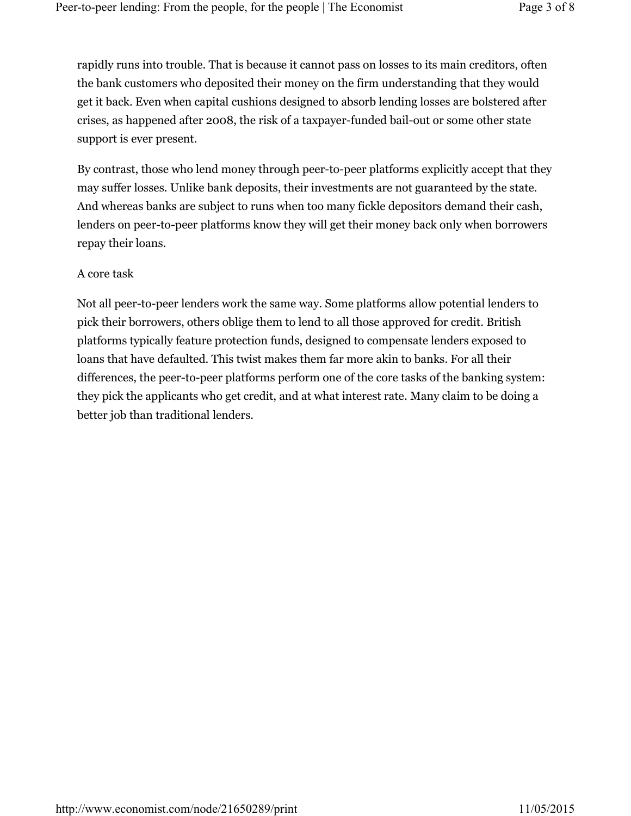rapidly runs into trouble. That is because it cannot pass on losses to its main creditors, often the bank customers who deposited their money on the firm understanding that they would get it back. Even when capital cushions designed to absorb lending losses are bolstered after crises, as happened after 2008, the risk of a taxpayer-funded bail-out or some other state support is ever present.

By contrast, those who lend money through peer-to-peer platforms explicitly accept that they may suffer losses. Unlike bank deposits, their investments are not guaranteed by the state. And whereas banks are subject to runs when too many fickle depositors demand their cash, lenders on peer-to-peer platforms know they will get their money back only when borrowers repay their loans.

### A core task

Not all peer-to-peer lenders work the same way. Some platforms allow potential lenders to pick their borrowers, others oblige them to lend to all those approved for credit. British platforms typically feature protection funds, designed to compensate lenders exposed to loans that have defaulted. This twist makes them far more akin to banks. For all their differences, the peer-to-peer platforms perform one of the core tasks of the banking system: they pick the applicants who get credit, and at what interest rate. Many claim to be doing a better job than traditional lenders.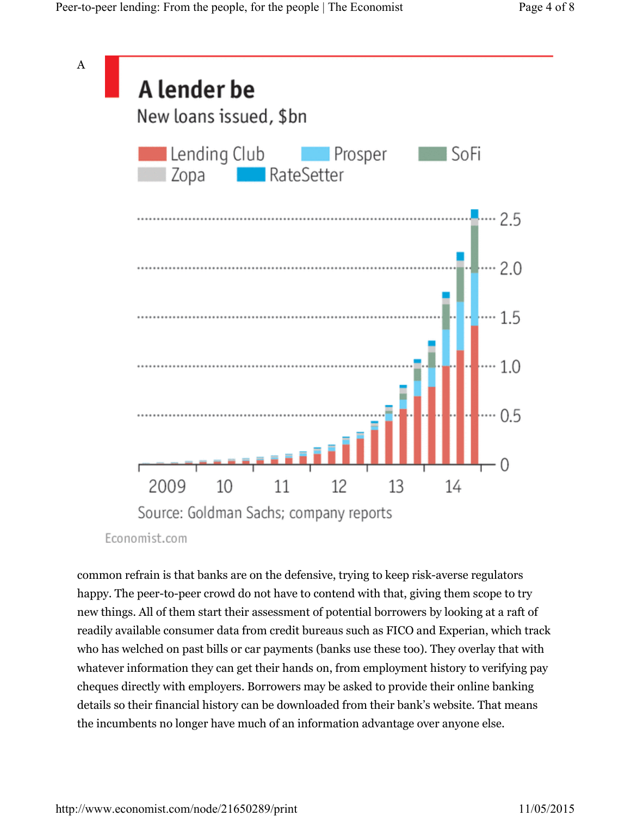

common refrain is that banks are on the defensive, trying to keep risk-averse regulators happy. The peer-to-peer crowd do not have to contend with that, giving them scope to try new things. All of them start their assessment of potential borrowers by looking at a raft of readily available consumer data from credit bureaus such as FICO and Experian, which track who has welched on past bills or car payments (banks use these too). They overlay that with whatever information they can get their hands on, from employment history to verifying pay cheques directly with employers. Borrowers may be asked to provide their online banking details so their financial history can be downloaded from their bank's website. That means the incumbents no longer have much of an information advantage over anyone else.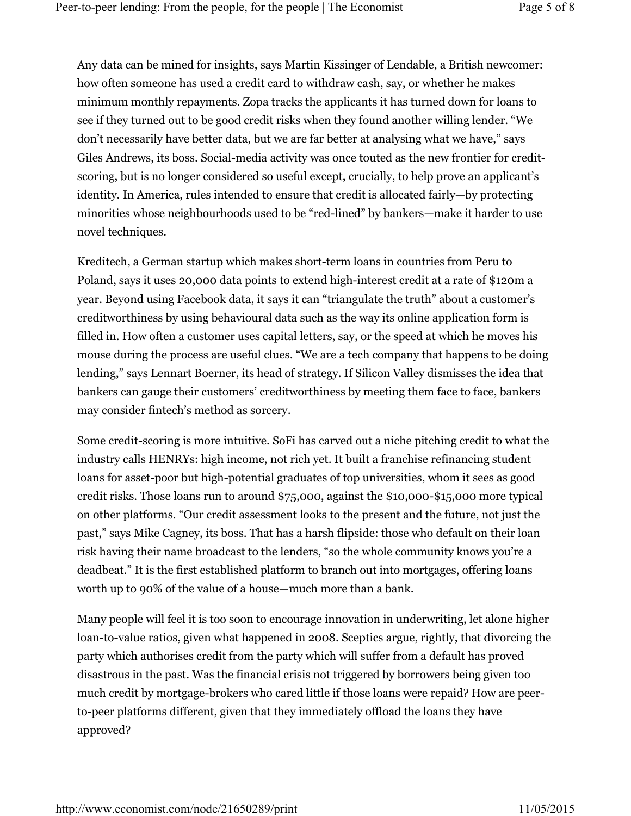Any data can be mined for insights, says Martin Kissinger of Lendable, a British newcomer: how often someone has used a credit card to withdraw cash, say, or whether he makes minimum monthly repayments. Zopa tracks the applicants it has turned down for loans to see if they turned out to be good credit risks when they found another willing lender. "We don't necessarily have better data, but we are far better at analysing what we have," says Giles Andrews, its boss. Social-media activity was once touted as the new frontier for creditscoring, but is no longer considered so useful except, crucially, to help prove an applicant's identity. In America, rules intended to ensure that credit is allocated fairly—by protecting minorities whose neighbourhoods used to be "red-lined" by bankers—make it harder to use novel techniques.

Kreditech, a German startup which makes short-term loans in countries from Peru to Poland, says it uses 20,000 data points to extend high-interest credit at a rate of \$120m a year. Beyond using Facebook data, it says it can "triangulate the truth" about a customer's creditworthiness by using behavioural data such as the way its online application form is filled in. How often a customer uses capital letters, say, or the speed at which he moves his mouse during the process are useful clues. "We are a tech company that happens to be doing lending," says Lennart Boerner, its head of strategy. If Silicon Valley dismisses the idea that bankers can gauge their customers' creditworthiness by meeting them face to face, bankers may consider fintech's method as sorcery.

Some credit-scoring is more intuitive. SoFi has carved out a niche pitching credit to what the industry calls HENRYs: high income, not rich yet. It built a franchise refinancing student loans for asset-poor but high-potential graduates of top universities, whom it sees as good credit risks. Those loans run to around \$75,000, against the \$10,000-\$15,000 more typical on other platforms. "Our credit assessment looks to the present and the future, not just the past," says Mike Cagney, its boss. That has a harsh flipside: those who default on their loan risk having their name broadcast to the lenders, "so the whole community knows you're a deadbeat." It is the first established platform to branch out into mortgages, offering loans worth up to 90% of the value of a house—much more than a bank.

Many people will feel it is too soon to encourage innovation in underwriting, let alone higher loan-to-value ratios, given what happened in 2008. Sceptics argue, rightly, that divorcing the party which authorises credit from the party which will suffer from a default has proved disastrous in the past. Was the financial crisis not triggered by borrowers being given too much credit by mortgage-brokers who cared little if those loans were repaid? How are peerto-peer platforms different, given that they immediately offload the loans they have approved?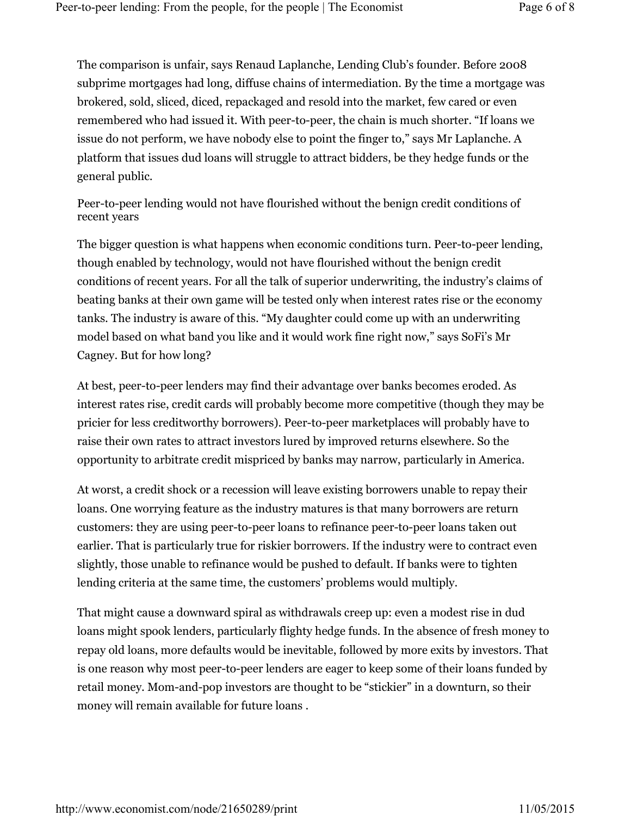The comparison is unfair, says Renaud Laplanche, Lending Club's founder. Before 2008 subprime mortgages had long, diffuse chains of intermediation. By the time a mortgage was brokered, sold, sliced, diced, repackaged and resold into the market, few cared or even remembered who had issued it. With peer-to-peer, the chain is much shorter. "If loans we issue do not perform, we have nobody else to point the finger to," says Mr Laplanche. A platform that issues dud loans will struggle to attract bidders, be they hedge funds or the general public.

Peer-to-peer lending would not have flourished without the benign credit conditions of recent years

The bigger question is what happens when economic conditions turn. Peer-to-peer lending, though enabled by technology, would not have flourished without the benign credit conditions of recent years. For all the talk of superior underwriting, the industry's claims of beating banks at their own game will be tested only when interest rates rise or the economy tanks. The industry is aware of this. "My daughter could come up with an underwriting model based on what band you like and it would work fine right now," says SoFi's Mr Cagney. But for how long?

At best, peer-to-peer lenders may find their advantage over banks becomes eroded. As interest rates rise, credit cards will probably become more competitive (though they may be pricier for less creditworthy borrowers). Peer-to-peer marketplaces will probably have to raise their own rates to attract investors lured by improved returns elsewhere. So the opportunity to arbitrate credit mispriced by banks may narrow, particularly in America.

At worst, a credit shock or a recession will leave existing borrowers unable to repay their loans. One worrying feature as the industry matures is that many borrowers are return customers: they are using peer-to-peer loans to refinance peer-to-peer loans taken out earlier. That is particularly true for riskier borrowers. If the industry were to contract even slightly, those unable to refinance would be pushed to default. If banks were to tighten lending criteria at the same time, the customers' problems would multiply.

That might cause a downward spiral as withdrawals creep up: even a modest rise in dud loans might spook lenders, particularly flighty hedge funds. In the absence of fresh money to repay old loans, more defaults would be inevitable, followed by more exits by investors. That is one reason why most peer-to-peer lenders are eager to keep some of their loans funded by retail money. Mom-and-pop investors are thought to be "stickier" in a downturn, so their money will remain available for future loans .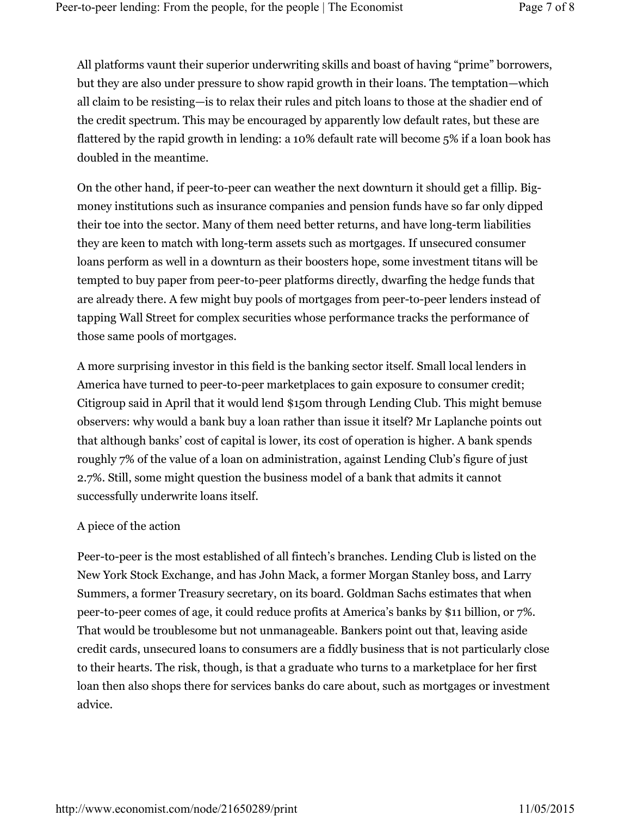All platforms vaunt their superior underwriting skills and boast of having "prime" borrowers, but they are also under pressure to show rapid growth in their loans. The temptation—which all claim to be resisting—is to relax their rules and pitch loans to those at the shadier end of the credit spectrum. This may be encouraged by apparently low default rates, but these are flattered by the rapid growth in lending: a 10% default rate will become 5% if a loan book has doubled in the meantime.

On the other hand, if peer-to-peer can weather the next downturn it should get a fillip. Bigmoney institutions such as insurance companies and pension funds have so far only dipped their toe into the sector. Many of them need better returns, and have long-term liabilities they are keen to match with long-term assets such as mortgages. If unsecured consumer loans perform as well in a downturn as their boosters hope, some investment titans will be tempted to buy paper from peer-to-peer platforms directly, dwarfing the hedge funds that are already there. A few might buy pools of mortgages from peer-to-peer lenders instead of tapping Wall Street for complex securities whose performance tracks the performance of those same pools of mortgages.

A more surprising investor in this field is the banking sector itself. Small local lenders in America have turned to peer-to-peer marketplaces to gain exposure to consumer credit; Citigroup said in April that it would lend \$150m through Lending Club. This might bemuse observers: why would a bank buy a loan rather than issue it itself? Mr Laplanche points out that although banks' cost of capital is lower, its cost of operation is higher. A bank spends roughly 7% of the value of a loan on administration, against Lending Club's figure of just 2.7%. Still, some might question the business model of a bank that admits it cannot successfully underwrite loans itself.

#### A piece of the action

Peer-to-peer is the most established of all fintech's branches. Lending Club is listed on the New York Stock Exchange, and has John Mack, a former Morgan Stanley boss, and Larry Summers, a former Treasury secretary, on its board. Goldman Sachs estimates that when peer-to-peer comes of age, it could reduce profits at America's banks by \$11 billion, or 7%. That would be troublesome but not unmanageable. Bankers point out that, leaving aside credit cards, unsecured loans to consumers are a fiddly business that is not particularly close to their hearts. The risk, though, is that a graduate who turns to a marketplace for her first loan then also shops there for services banks do care about, such as mortgages or investment advice.